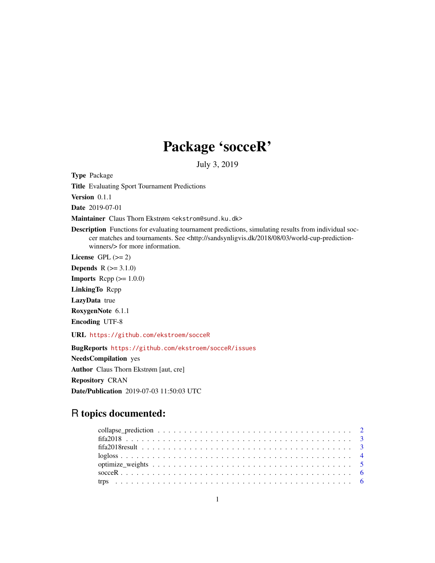# Package 'socceR'

July 3, 2019

Type Package

Title Evaluating Sport Tournament Predictions

Version 0.1.1

Date 2019-07-01

Maintainer Claus Thorn Ekstrøm <ekstrom@sund.ku.dk>

Description Functions for evaluating tournament predictions, simulating results from individual soccer matches and tournaments. See <http://sandsynligvis.dk/2018/08/03/world-cup-predictionwinners/> for more information.

License GPL  $(>= 2)$ 

**Depends**  $R$  ( $>= 3.1.0$ )

**Imports** Rcpp  $(>= 1.0.0)$ 

LinkingTo Rcpp

LazyData true

RoxygenNote 6.1.1

Encoding UTF-8

URL <https://github.com/ekstroem/socceR>

BugReports <https://github.com/ekstroem/socceR/issues> NeedsCompilation yes Author Claus Thorn Ekstrøm [aut, cre] Repository CRAN Date/Publication 2019-07-03 11:50:03 UTC

# R topics documented: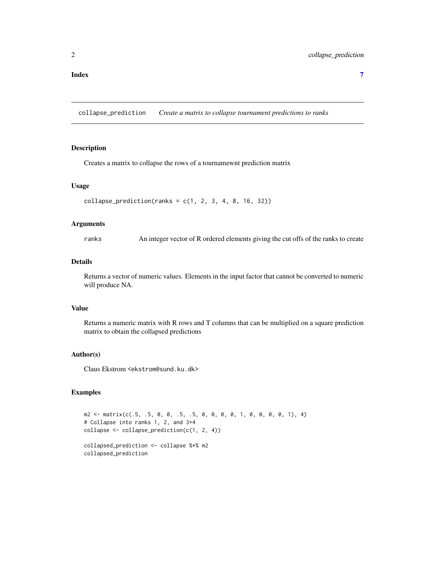#### <span id="page-1-0"></span>**Index** [7](#page-6-0) **7**

collapse\_prediction *Create a matrix to collapse tournament predictions to ranks*

# Description

Creates a matrix to collapse the rows of a tournamewnt prediction matrix

#### Usage

```
collapse\_prediction(ranks = c(1, 2, 3, 4, 8, 16, 32))
```
## Arguments

ranks An integer vector of R ordered elements giving the cut offs of the ranks to create

# Details

Returns a vector of numeric values. Elements in the input factor that cannot be converted to numeric will produce NA.

#### Value

Returns a numeric matrix with R rows and T columns that can be multiplied on a square prediction matrix to obtain the collapsed predictions

#### Author(s)

Claus Ekstrom <ekstrom@sund.ku.dk>

```
m2 \le matrix \text{matrix}(c(.5, .5, 0, 0, .5, .5, 0, 0, 0, 0, 1, 0, 0, 0, 1), 4)# Collapse into ranks 1, 2, and 3+4
collapse <- collapse_prediction(c(1, 2, 4))
collapsed_prediction <- collapse %*% m2
collapsed_prediction
```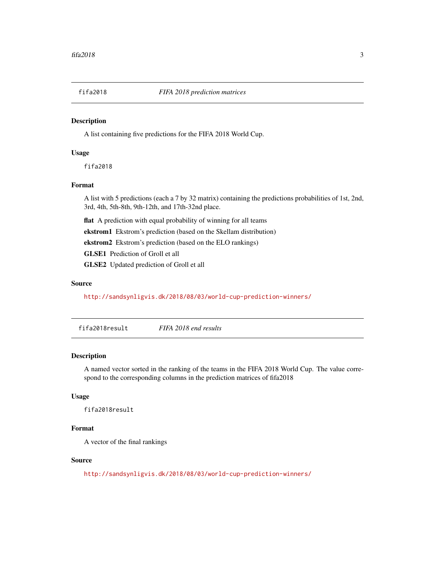<span id="page-2-0"></span>

## Description

A list containing five predictions for the FIFA 2018 World Cup.

# Usage

fifa2018

# Format

A list with 5 predictions (each a 7 by 32 matrix) containing the predictions probabilities of 1st, 2nd, 3rd, 4th, 5th-8th, 9th-12th, and 17th-32nd place.

flat A prediction with equal probability of winning for all teams

ekstrom1 Ekstrom's prediction (based on the Skellam distribution)

ekstrom2 Ekstrom's prediction (based on the ELO rankings)

GLSE1 Prediction of Groll et all

GLSE2 Updated prediction of Groll et all

#### Source

<http://sandsynligvis.dk/2018/08/03/world-cup-prediction-winners/>

fifa2018result *FIFA 2018 end results*

# Description

A named vector sorted in the ranking of the teams in the FIFA 2018 World Cup. The value correspond to the corresponding columns in the prediction matrices of fifa2018

# Usage

fifa2018result

# Format

A vector of the final rankings

#### Source

<http://sandsynligvis.dk/2018/08/03/world-cup-prediction-winners/>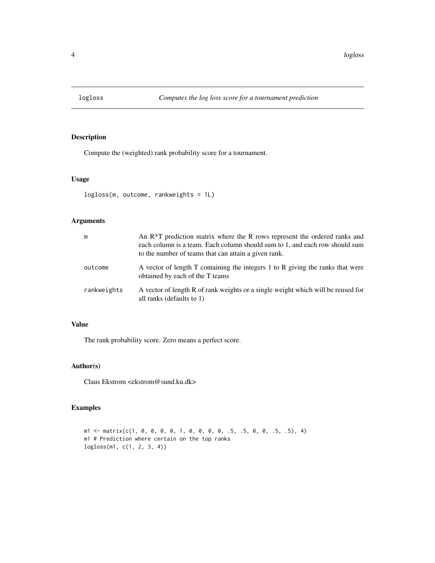<span id="page-3-0"></span>

# Description

Compute the (weighted) rank probability score for a tournament.

# Usage

```
logloss(m, outcome, rankweights = 1L)
```
#### Arguments

| m           | An R <sup>*</sup> T prediction matrix where the R rows represent the ordered ranks and<br>each column is a team. Each column should sum to 1, and each row should sum<br>to the number of teams that can attain a given rank. |
|-------------|-------------------------------------------------------------------------------------------------------------------------------------------------------------------------------------------------------------------------------|
| outcome     | A vector of length T containing the integers 1 to R giving the ranks that were<br>obtained by each of the T teams                                                                                                             |
| rankweights | A vector of length R of rank weights or a single weight which will be reused for<br>all ranks (defaults to 1)                                                                                                                 |

# Value

The rank probability score. Zero means a perfect score.

# Author(s)

Claus Ekstrom <ekstrom@sund.ku.dk>

```
ml \leq matrix(c(1, 0, 0, 0, 0, 1, 0, 0, 0, 0, .5, .5, 0, 0, .5, .5), 4)m1 # Prediction where certain on the top ranks
logloss(m1, c(1, 2, 3, 4))
```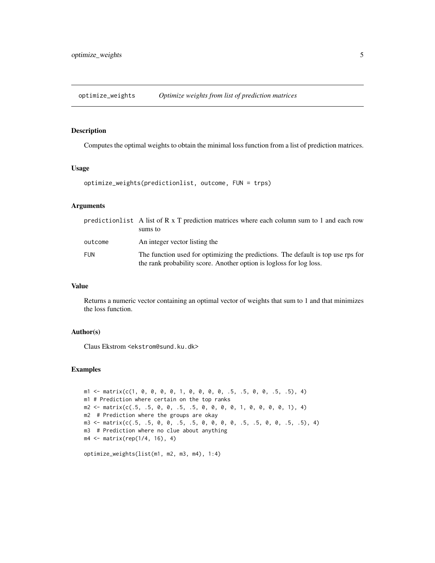<span id="page-4-0"></span>optimize\_weights *Optimize weights from list of prediction matrices*

#### Description

Computes the optimal weights to obtain the minimal loss function from a list of prediction matrices.

#### Usage

```
optimize_weights(predictionlist, outcome, FUN = trps)
```
#### Arguments

|         | prediction list A list of R $x$ T prediction matrices where each column sum to 1 and each row<br>sums to                                                |
|---------|---------------------------------------------------------------------------------------------------------------------------------------------------------|
| outcome | An integer vector listing the                                                                                                                           |
| FUN     | The function used for optimizing the predictions. The default is top use rps for<br>the rank probability score. Another option is logloss for log loss. |

#### Value

Returns a numeric vector containing an optimal vector of weights that sum to 1 and that minimizes the loss function.

# Author(s)

Claus Ekstrom <ekstrom@sund.ku.dk>

```
m1 \le - matrix(c(1, 0, 0, 0, 0, 1, 0, 0, 0, 0, .5, .5, 0, 0, .5, .5), 4)
m1 # Prediction where certain on the top ranks
m2 \leq -\text{ matrix}(c(.5, .5, 0, 0, .5, .5, 0, 0, 0, 0, 1, 0, 0, 0, 1), 4)m2 # Prediction where the groups are okay
m3 \le matrix \text{matrix}(c(.5, .5, 0, 0, .5, .5, 0, 0, 0, .5, .5, .5, 0, 0, .5, .5), 4)m3 # Prediction where no clue about anything
m4 <- matrix(rep(1/4, 16), 4)
```

```
optimize_weights(list(m1, m2, m3, m4), 1:4)
```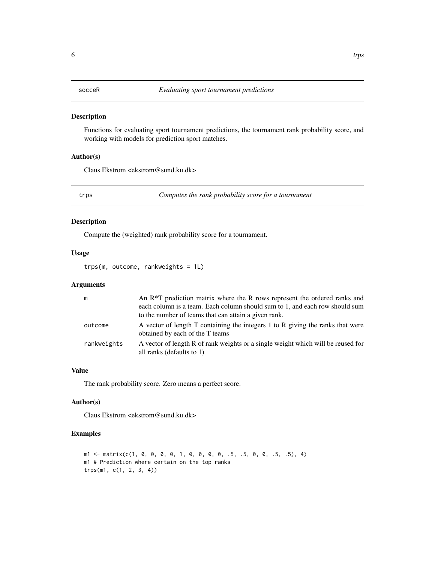<span id="page-5-0"></span>

#### Description

Functions for evaluating sport tournament predictions, the tournament rank probability score, and working with models for prediction sport matches.

# Author(s)

Claus Ekstrom <ekstrom@sund.ku.dk>

trps *Computes the rank probability score for a tournament*

#### Description

Compute the (weighted) rank probability score for a tournament.

#### Usage

trps(m, outcome, rankweights = 1L)

#### Arguments

| m           | An $R^*T$ prediction matrix where the R rows represent the ordered ranks and                                                        |
|-------------|-------------------------------------------------------------------------------------------------------------------------------------|
|             | each column is a team. Each column should sum to 1, and each row should sum<br>to the number of teams that can attain a given rank. |
| outcome     | A vector of length T containing the integers 1 to R giving the ranks that were<br>obtained by each of the T teams                   |
| rankweights | A vector of length R of rank weights or a single weight which will be reused for<br>all ranks (defaults to 1)                       |

# Value

The rank probability score. Zero means a perfect score.

#### Author(s)

Claus Ekstrom <ekstrom@sund.ku.dk>

```
ml \leftarrow matrix(c(1, 0, 0, 0, 0, 1, 0, 0, 0, 0, .5, .5, 0, 0, .5, .5), 4)m1 # Prediction where certain on the top ranks
trps(m1, c(1, 2, 3, 4))
```